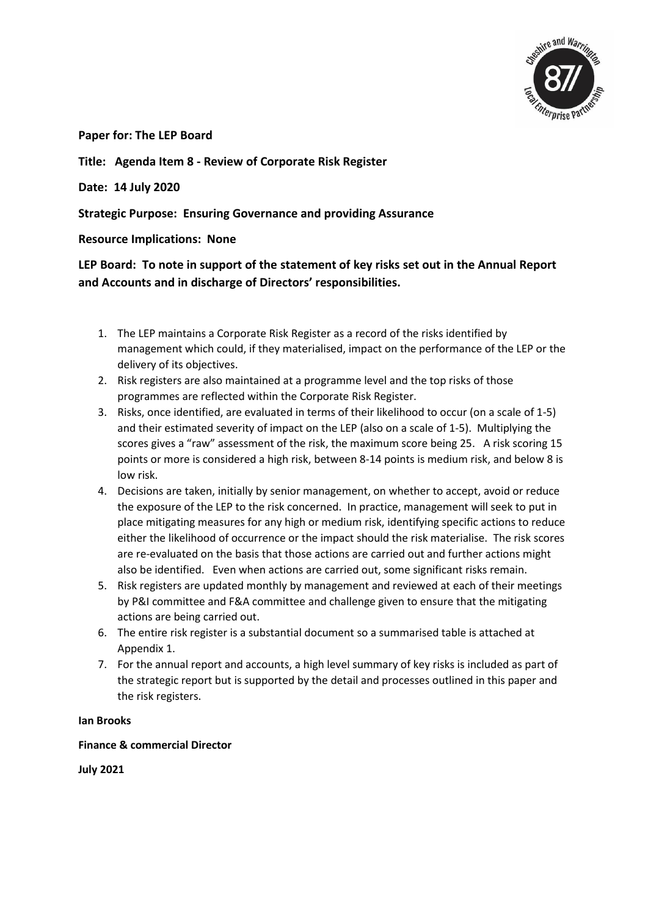

**Paper for: The LEP Board** 

**Title: Agenda Item 8 - Review of Corporate Risk Register**

**Date: 14 July 2020**

**Strategic Purpose: Ensuring Governance and providing Assurance**

**Resource Implications: None**

**LEP Board: To note in support of the statement of key risks set out in the Annual Report and Accounts and in discharge of Directors' responsibilities.** 

- 1. The LEP maintains a Corporate Risk Register as a record of the risks identified by management which could, if they materialised, impact on the performance of the LEP or the delivery of its objectives.
- 2. Risk registers are also maintained at a programme level and the top risks of those programmes are reflected within the Corporate Risk Register.
- 3. Risks, once identified, are evaluated in terms of their likelihood to occur (on a scale of 1-5) and their estimated severity of impact on the LEP (also on a scale of 1-5). Multiplying the scores gives a "raw" assessment of the risk, the maximum score being 25. A risk scoring 15 points or more is considered a high risk, between 8-14 points is medium risk, and below 8 is low risk.
- 4. Decisions are taken, initially by senior management, on whether to accept, avoid or reduce the exposure of the LEP to the risk concerned. In practice, management will seek to put in place mitigating measures for any high or medium risk, identifying specific actions to reduce either the likelihood of occurrence or the impact should the risk materialise. The risk scores are re-evaluated on the basis that those actions are carried out and further actions might also be identified. Even when actions are carried out, some significant risks remain.
- 5. Risk registers are updated monthly by management and reviewed at each of their meetings by P&I committee and F&A committee and challenge given to ensure that the mitigating actions are being carried out.
- 6. The entire risk register is a substantial document so a summarised table is attached at Appendix 1.
- 7. For the annual report and accounts, a high level summary of key risks is included as part of the strategic report but is supported by the detail and processes outlined in this paper and the risk registers.

## **Ian Brooks**

**Finance & commercial Director**

**July 2021**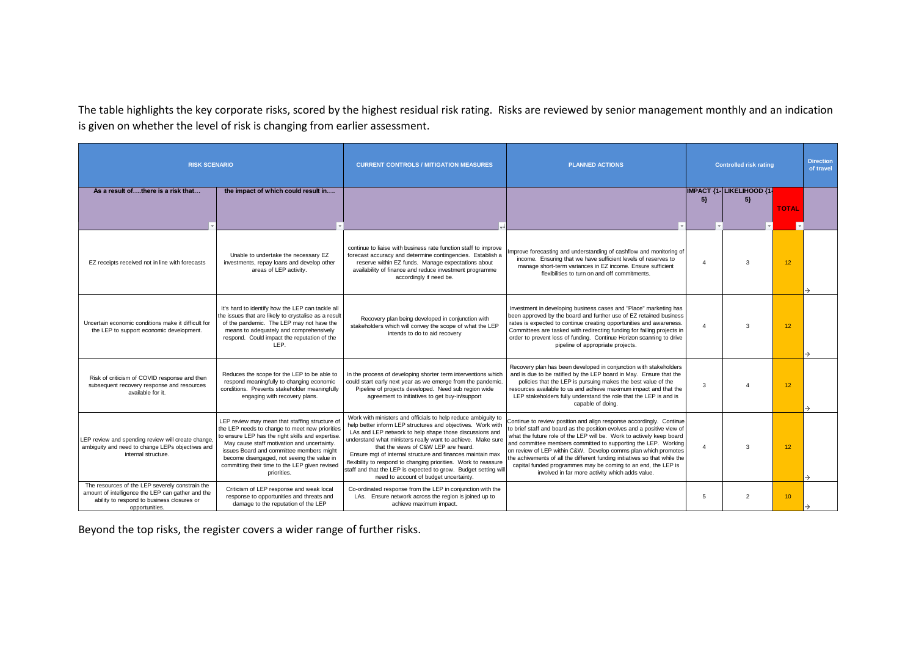The table highlights the key corporate risks, scored by the highest residual risk rating. Risks are reviewed by senior management monthly and an indication is given on whether the level of risk is changing from earlier assessment.

| <b>RISK SCENARIO</b>                                                                                                                                                 |                                                                                                                                                                                                                                                                                                                                                                 | <b>CURRENT CONTROLS / MITIGATION MEASURES</b>                                                                                                                                                                                                                                                                                                                                                                                                                                                                                                | <b>PLANNED ACTIONS</b>                                                                                                                                                                                                                                                                                                                                                                                                                                                                                                                                        | <b>Controlled risk rating</b> |                                    |                 | <b>Direction</b><br>of travel |
|----------------------------------------------------------------------------------------------------------------------------------------------------------------------|-----------------------------------------------------------------------------------------------------------------------------------------------------------------------------------------------------------------------------------------------------------------------------------------------------------------------------------------------------------------|----------------------------------------------------------------------------------------------------------------------------------------------------------------------------------------------------------------------------------------------------------------------------------------------------------------------------------------------------------------------------------------------------------------------------------------------------------------------------------------------------------------------------------------------|---------------------------------------------------------------------------------------------------------------------------------------------------------------------------------------------------------------------------------------------------------------------------------------------------------------------------------------------------------------------------------------------------------------------------------------------------------------------------------------------------------------------------------------------------------------|-------------------------------|------------------------------------|-----------------|-------------------------------|
| As a result ofthere is a risk that                                                                                                                                   | the impact of which could result in                                                                                                                                                                                                                                                                                                                             |                                                                                                                                                                                                                                                                                                                                                                                                                                                                                                                                              |                                                                                                                                                                                                                                                                                                                                                                                                                                                                                                                                                               | 5 <sub>1</sub>                | IMPACT {1- LIKELIHOOD {1-<br>$5\}$ | <b>TOTAL</b>    |                               |
| EZ receipts received not in line with forecasts                                                                                                                      | Unable to undertake the necessary EZ<br>investments, repay loans and develop other<br>areas of LEP activity.                                                                                                                                                                                                                                                    | continue to liaise with business rate function staff to improve<br>forecast accuracy and determine contingencies. Establish a<br>reserve within EZ funds. Manage expectations about<br>availability of finance and reduce investment programme<br>accordingly if need be.                                                                                                                                                                                                                                                                    | mprove forecasting and understanding of cashflow and monitoring of<br>income. Ensuring that we have sufficient levels of reserves to<br>manage short-term variances in EZ income. Ensure sufficient<br>flexibilities to turn on and off commitments.                                                                                                                                                                                                                                                                                                          | $\boldsymbol{\Lambda}$        | 3                                  | 12 <sup>°</sup> |                               |
| Uncertain economic conditions make it difficult for<br>the LEP to support economic development.                                                                      | It's hard to identify how the LEP can tackle all<br>the issues that are likely to crystalise as a result<br>of the pandemic. The LEP may not have the<br>means to adequately and comprehensively<br>respond. Could impact the reputation of the<br>LEP.                                                                                                         | Recovery plan being developed in conjunction with<br>stakeholders which will convey the scope of what the LEP<br>intends to do to aid recovery                                                                                                                                                                                                                                                                                                                                                                                               | Investment in developing business cases and "Place" marketing has<br>been approved by the board and further use of EZ retained business<br>rates is expected to continue creating opportunities and awareness.<br>Committees are tasked with redirecting funding for failing projects in<br>order to prevent loss of funding. Continue Horizon scanning to drive<br>pipeline of appropriate projects.                                                                                                                                                         | $\overline{4}$                | 3                                  | 12 <sup>°</sup> |                               |
| Risk of criticism of COVID response and then<br>subsequent recovery response and resources<br>available for it.                                                      | Reduces the scope for the LEP to be able to<br>respond meaningfully to changing economic<br>conditions. Prevents stakeholder meaningfully<br>engaging with recovery plans.                                                                                                                                                                                      | In the process of developing shorter term interventions which<br>could start early next year as we emerge from the pandemic.<br>Pipeline of projects developed. Need sub region wide<br>agreement to initiatives to get buy-in/support                                                                                                                                                                                                                                                                                                       | Recovery plan has been developed in conjunction with stakeholders<br>and is due to be ratified by the LEP board in May. Ensure that the<br>policies that the LEP is pursuing makes the best value of the<br>resources available to us and achieve maximum impact and that the<br>LEP stakeholders fully understand the role that the LEP is and is<br>capable of doing.                                                                                                                                                                                       | 3                             |                                    | 12 <sup>°</sup> |                               |
| LEP review and spending review will create change,<br>ambiguity and need to change LEPs objectives and<br>internal structure.                                        | LEP review may mean that staffing structure of<br>the LEP needs to change to meet new priorities<br>to ensure LEP has the right skills and expertise.<br>May cause staff motivation and uncertainty.<br>issues Board and committee members might<br>become disengaged, not seeing the value in<br>committing their time to the LEP given revised<br>priorities. | Work with ministers and officials to help reduce ambiguity to<br>help better inform LEP structures and objectives. Work with<br>LAs and LEP network to help shape those discussions and<br>understand what ministers really want to achieve. Make sure<br>that the views of C&W LEP are heard.<br>Ensure mgt of internal structure and finances maintain max<br>flexibility to respond to changing priorities. Work to reassure<br>staff and that the LEP is expected to grow. Budget setting will<br>need to account of budget uncertainty. | Continue to review position and align response accordingly. Continue<br>to brief staff and board as the position evolves and a positive view of<br>what the future role of the LEP will be. Work to actively keep board<br>and committee members committed to supporting the LEP. Working<br>on review of LEP within C&W. Develop comms plan which promotes<br>the achivements of all the different funding initiatives so that while the<br>capital funded programmes may be coming to an end, the LEP is<br>involved in far more activity which adds value. | $\boldsymbol{\Lambda}$        | 3                                  | 12 <sup>°</sup> |                               |
| The resources of the LEP severely constrain the<br>amount of intelligence the LEP can gather and the<br>ability to respond to business closures or<br>opportunities. | Criticism of LEP response and weak local<br>response to opportunities and threats and<br>damage to the reputation of the LEP                                                                                                                                                                                                                                    | Co-ordinated response from the LEP in conjunction with the<br>LAs. Ensure network across the region is joined up to<br>achieve maximum impact.                                                                                                                                                                                                                                                                                                                                                                                               |                                                                                                                                                                                                                                                                                                                                                                                                                                                                                                                                                               | 5                             | $\overline{2}$                     | 10 <sup>°</sup> |                               |

Beyond the top risks, the register covers a wider range of further risks.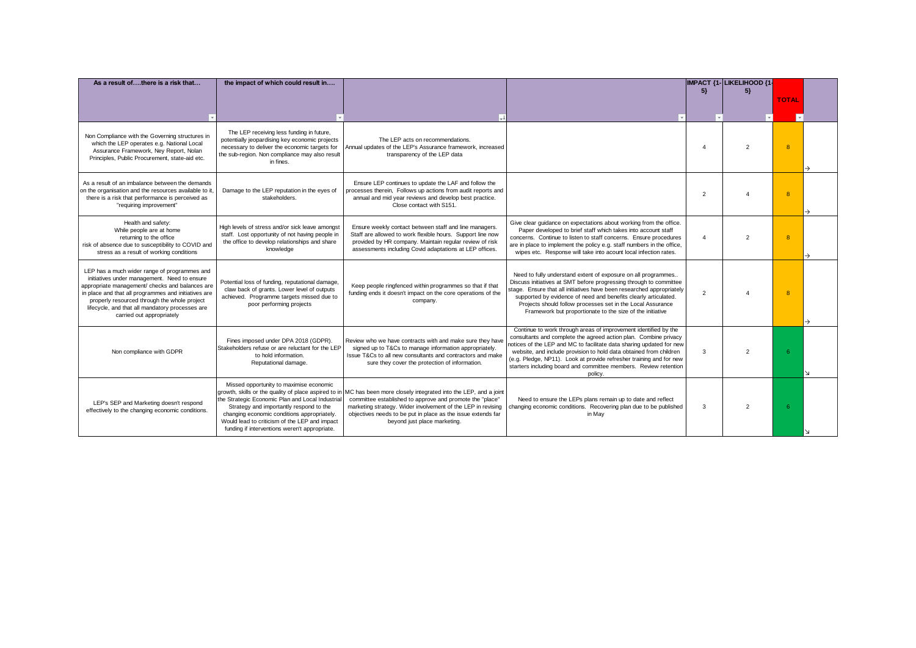| As a result ofthere is a risk that                                                                                                                                                                                                                                                                                                      | the impact of which could result in                                                                                                                                                                                                                                                                                                             |                                                                                                                                                                                                                                                                                           | IMPACT {1- LIKELIHOOD {1-                                                                                                                                                                                                                                                                                                                                                                                                               |                |                |                |  |
|-----------------------------------------------------------------------------------------------------------------------------------------------------------------------------------------------------------------------------------------------------------------------------------------------------------------------------------------|-------------------------------------------------------------------------------------------------------------------------------------------------------------------------------------------------------------------------------------------------------------------------------------------------------------------------------------------------|-------------------------------------------------------------------------------------------------------------------------------------------------------------------------------------------------------------------------------------------------------------------------------------------|-----------------------------------------------------------------------------------------------------------------------------------------------------------------------------------------------------------------------------------------------------------------------------------------------------------------------------------------------------------------------------------------------------------------------------------------|----------------|----------------|----------------|--|
|                                                                                                                                                                                                                                                                                                                                         |                                                                                                                                                                                                                                                                                                                                                 |                                                                                                                                                                                                                                                                                           |                                                                                                                                                                                                                                                                                                                                                                                                                                         | 5              | $5\}$          |                |  |
|                                                                                                                                                                                                                                                                                                                                         |                                                                                                                                                                                                                                                                                                                                                 |                                                                                                                                                                                                                                                                                           |                                                                                                                                                                                                                                                                                                                                                                                                                                         |                |                | <b>TOTAL</b>   |  |
|                                                                                                                                                                                                                                                                                                                                         |                                                                                                                                                                                                                                                                                                                                                 |                                                                                                                                                                                                                                                                                           |                                                                                                                                                                                                                                                                                                                                                                                                                                         |                |                |                |  |
| Non Compliance with the Governing structures in<br>which the LEP operates e.g. National Local<br>Assurance Framework, Ney Report, Nolan<br>Principles, Public Procurement, state-aid etc.                                                                                                                                               | The LEP receiving less funding in future,<br>potentially jeopardising key economic projects<br>necessary to deliver the economic targets for<br>the sub-region. Non compliance may also result<br>in fines.                                                                                                                                     | The LEP acts on recommendations.<br>Annual updates of the LEP's Assurance framework, increased<br>transparency of the LEP data                                                                                                                                                            |                                                                                                                                                                                                                                                                                                                                                                                                                                         | $\overline{A}$ | $\overline{2}$ | 8              |  |
| As a result of an imbalance between the demands<br>on the organisation and the resources available to it.<br>there is a risk that performance is perceived as<br>"requiring improvement"                                                                                                                                                | Damage to the LEP reputation in the eyes of<br>stakeholders.                                                                                                                                                                                                                                                                                    | Ensure LEP continues to update the LAF and follow the<br>processes therein, Follows up actions from audit reports and<br>annual and mid year reviews and develop best practice.<br>Close contact with S151.                                                                               |                                                                                                                                                                                                                                                                                                                                                                                                                                         | $\overline{2}$ |                | $\overline{8}$ |  |
| Health and safety:<br>While people are at home<br>returning to the office<br>risk of absence due to susceptibility to COVID and<br>stress as a result of working conditions                                                                                                                                                             | High levels of stress and/or sick leave amongst<br>staff. Lost opportunity of not having people in<br>the office to develop relationships and share<br>knowledge                                                                                                                                                                                | Ensure weekly contact between staff and line managers.<br>Staff are allowed to work flexible hours. Support line now<br>provided by HR company. Maintain regular review of risk<br>assessments including Covid adaptations at LEP offices.                                                | Give clear quidance on expectations about working from the office.<br>Paper developed to brief staff which takes into account staff<br>concerns. Continue to listen to staff concerns. Ensure procedures<br>are in place to implement the policy e.g. staff numbers in the office,<br>wipes etc. Response will take into acount local infection rates.                                                                                  | $\overline{A}$ | $\overline{2}$ | $\overline{8}$ |  |
| LEP has a much wider range of programmes and<br>initiatives under management. Need to ensure<br>appropriate management/ checks and balances are<br>in place and that all programmes and initiatives are<br>properly resourced through the whole project<br>lifecycle, and that all mandatory processes are<br>carried out appropriately | Potential loss of funding, reputational damage,<br>claw back of grants. Lower level of outputs<br>achieved. Programme targets missed due to<br>poor performing projects                                                                                                                                                                         | Keep people ringfenced within programmes so that if that<br>funding ends it doesn't impact on the core operations of the<br>company.                                                                                                                                                      | Need to fully understand extent of exposure on all programmes<br>Discuss initiatives at SMT before progressing through to committee<br>stage. Ensure that all initiatives have been researched appropriately<br>supported by evidence of need and benefits clearly articulated.<br>Projects should follow processes set in the Local Assurance<br>Framework but proportionate to the size of the initiative                             | $\mathcal{D}$  |                | $\mathbf{8}$   |  |
| Non compliance with GDPR                                                                                                                                                                                                                                                                                                                | Fines imposed under DPA 2018 (GDPR).<br>Stakeholders refuse or are reluctant for the LEP<br>to hold information.<br>Reputational damage.                                                                                                                                                                                                        | Review who we have contracts with and make sure they have<br>signed up to T&Cs to manage information appropriately.<br>Issue T&Cs to all new consultants and contractors and make<br>sure they cover the protection of information.                                                       | Continue to work through areas of improvement identified by the<br>consultants and complete the agreed action plan. Combine privacy<br>notices of the LEP and MC to facilitate data sharing updated for new<br>website, and include provision to hold data obtained from children<br>(e.g. Pledge, NP11). Look at provide refresher training and for new<br>starters including board and committee members. Review retention<br>policy. | $\mathcal{R}$  | $\overline{2}$ |                |  |
| LEP's SEP and Marketing doesn't respond<br>effectively to the changing economic conditions.                                                                                                                                                                                                                                             | Missed opportunity to maximise economic<br>growth, skills or the quality of place aspired to in<br>the Strategic Economic Plan and Local Industrial<br>Strategy and importantly respond to the<br>changing economic conditions appropriately.<br>Would lead to criticism of the LEP and impact<br>funding if interventions weren't appropriate. | MC has been more closely integrated into the LEP, and a joint<br>committee established to approve and promote the "place"<br>marketing strategy. Wider involvement of the LEP in revising<br>objectives needs to be put in place as the issue extends far<br>beyond just place marketing. | Need to ensure the LEPs plans remain up to date and reflect<br>changing economic conditions. Recovering plan due to be published<br>in May                                                                                                                                                                                                                                                                                              | 3              | $\overline{2}$ | 6              |  |